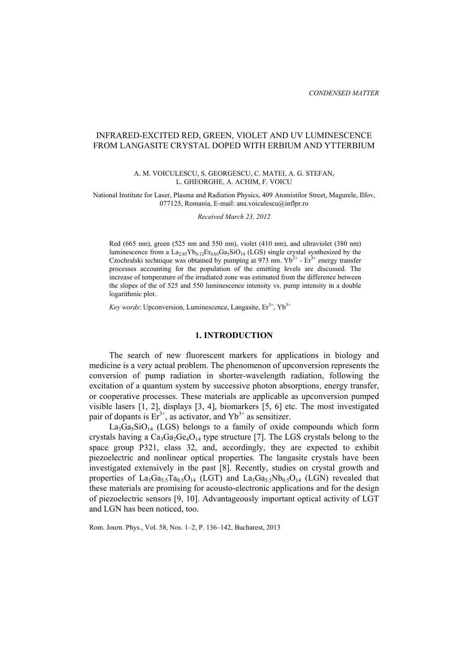# INFRARED-EXCITED RED, GREEN, VIOLET AND UV LUMINESCENCE FROM LANGASITE CRYSTAL DOPED WITH ERBIUM AND YTTERBIUM

#### A. M. VOICULESCU, S. GEORGESCU, C. MATEI, A. G. STEFAN, L. GHEORGHE, A. ACHIM, F. VOICU

National Institute for Laser, Plasma and Radiation Physics, 409 Atomistilor Street, Magurele, Ilfov, 077125, Romania, E-mail: ana.voiculescu@inflpr.ro

*Received March 23, 2012* 

Red (665 nm), green (525 nm and 550 nm), violet (410 nm), and ultraviolet (380 nm) luminescence from a  $La_{2.85}Yb_{0.12}Er_{0.03}Ga_5SiO_{14}$  (LGS) single crystal synthesized by the Czochralski technique was obtained by pumping at 973 nm.  $Yb^{3+}$  - Er<sup>3+</sup> energy transfer processes accounting for the population of the emitting levels are discussed. The increase of temperature of the irradiated zone was estimated from the difference between the slopes of the of 525 and 550 luminescence intensity vs. pump intensity in a double logarithmic plot.

*Key words*: Upconversion, Luminescence, Langasite,  $Er^{3+}$ ,  $Yb^{3+}$ 

## **1. INTRODUCTION**

The search of new fluorescent markers for applications in biology and medicine is a very actual problem. The phenomenon of upconversion represents the conversion of pump radiation in shorter-wavelength radiation, following the excitation of a quantum system by successive photon absorptions, energy transfer, or cooperative processes. These materials are applicable as upconversion pumped visible lasers [1, 2], displays [3, 4], biomarkers [5, 6] etc. The most investigated pair of dopants is  $Er^{3+}$ , as activator, and  $Yb^{3+}$  as sensitizer.

 $La<sub>3</sub>Ga<sub>5</sub>SiO<sub>14</sub>$  (LGS) belongs to a family of oxide compounds which form crystals having a  $Ca_3Ga_2Ge_4O_{14}$  type structure [7]. The LGS crystals belong to the space group P321, class 32, and, accordingly, they are expected to exhibit piezoelectric and nonlinear optical properties. The langasite crystals have been investigated extensively in the past [8]. Recently, studies on crystal growth and properties of  $La_3Ga_5Ta_0.5O_{14}$  (LGT) and  $La_3Ga_5SNb_0.5O_{14}$  (LGN) revealed that these materials are promising for acousto-electronic applications and for the design of piezoelectric sensors [9, 10]. Advantageously important optical activity of LGT and LGN has been noticed, too.

Rom. Journ. Phys., Vol. 58, Nos. 1–2, P. 136–142, Bucharest, 2013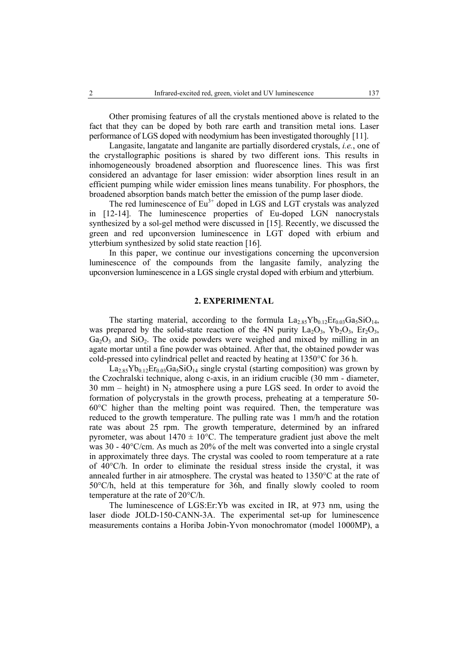Other promising features of all the crystals mentioned above is related to the

fact that they can be doped by both rare earth and transition metal ions. Laser performance of LGS doped with neodymium has been investigated thoroughly [11].

Langasite, langatate and langanite are partially disordered crystals, *i.e.*, one of the crystallographic positions is shared by two different ions. This results in inhomogeneously broadened absorption and fluorescence lines. This was first considered an advantage for laser emission: wider absorption lines result in an efficient pumping while wider emission lines means tunability. For phosphors, the broadened absorption bands match better the emission of the pump laser diode.

The red luminescence of  $Eu<sup>3+</sup>$  doped in LGS and LGT crystals was analyzed in [12-14]. The luminescence properties of Eu-doped LGN nanocrystals synthesized by a sol-gel method were discussed in [15]. Recently, we discussed the green and red upconversion luminescence in LGT doped with erbium and ytterbium synthesized by solid state reaction [16].

In this paper, we continue our investigations concerning the upconversion luminescence of the compounds from the langasite family, analyzing the upconversion luminescence in a LGS single crystal doped with erbium and ytterbium.

#### **2. EXPERIMENTAL**

The starting material, according to the formula  $La_{2.85}Yb_{0.12}Er_{0.03}Ga_5SiO_{14}$ , was prepared by the solid-state reaction of the 4N purity  $La_2O_3$ ,  $Yb_2O_3$ ,  $Er_2O_3$ ,  $Ga<sub>2</sub>O<sub>3</sub>$  and  $SiO<sub>2</sub>$ . The oxide powders were weighed and mixed by milling in an agate mortar until a fine powder was obtained. After that, the obtained powder was cold-pressed into cylindrical pellet and reacted by heating at 1350°C for 36 h.

 $La<sub>2.85</sub>Yb<sub>0.12</sub>Er<sub>0.03</sub>Ga<sub>5</sub>SiO<sub>14</sub> single crystal (starting composition) was grown by$ the Czochralski technique, along c-axis, in an iridium crucible (30 mm - diameter, 30 mm – height) in  $N_2$  atmosphere using a pure LGS seed. In order to avoid the formation of polycrystals in the growth process, preheating at a temperature 50- 60°C higher than the melting point was required. Then, the temperature was reduced to the growth temperature. The pulling rate was 1 mm/h and the rotation rate was about 25 rpm. The growth temperature, determined by an infrared pyrometer, was about  $1470 \pm 10^{\circ}$ C. The temperature gradient just above the melt was 30 - 40°C/cm. As much as 20% of the melt was converted into a single crystal in approximately three days. The crystal was cooled to room temperature at a rate of 40°C/h. In order to eliminate the residual stress inside the crystal, it was annealed further in air atmosphere. The crystal was heated to 1350°C at the rate of 50°C/h, held at this temperature for 36h, and finally slowly cooled to room temperature at the rate of 20°C/h.

The luminescence of LGS:Er:Yb was excited in IR, at 973 nm, using the laser diode JOLD-150-CANN-3A. The experimental set-up for luminescence measurements contains a Horiba Jobin-Yvon monochromator (model 1000MP), a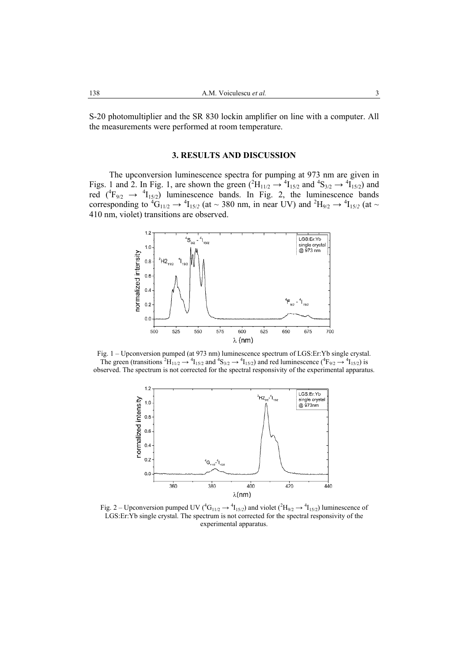S-20 photomultiplier and the SR 830 lockin amplifier on line with a computer. All the measurements were performed at room temperature.

## **3. RESULTS AND DISCUSSION**

The upconversion luminescence spectra for pumping at 973 nm are given in Figs. 1 and 2. In Fig. 1, are shown the green  $(^{2}H_{11/2} \rightarrow ^{4}I_{15/2}$  and  $^{4}S_{3/2} \rightarrow ^{4}I_{15/2}$ ) and red  $({}^{4}F_{9/2} \rightarrow {}^{4}I_{15/2})$  luminescence bands. In Fig. 2, the luminescence bands corresponding to  ${}^4G_{11/2} \rightarrow {}^4I_{15/2}$  (at ~ 380 nm, in near UV) and  ${}^2H_{9/2} \rightarrow {}^4I_{15/2}$  (at ~ 410 nm, violet) transitions are observed.



Fig. 1 – Upconversion pumped (at 973 nm) luminescence spectrum of LGS:Er:Yb single crystal. The green (transitions  ${}^2H_{11/2} \rightarrow {}^4I_{15/2}$  and  ${}^4S_{3/2} \rightarrow {}^4I_{15/2}$ ) and red luminescence ( ${}^4F_{9/2} \rightarrow {}^4I_{15/2}$ ) is observed. The spectrum is not corrected for the spectral responsivity of the experimental apparatus.



Fig. 2 – Upconversion pumped UV ( ${}^4G_{11/2} \rightarrow {}^4I_{15/2}$ ) and violet ( ${}^2H_{9/2} \rightarrow {}^4I_{15/2}$ ) luminescence of LGS:Er:Yb single crystal. The spectrum is not corrected for the spectral responsivity of the experimental apparatus.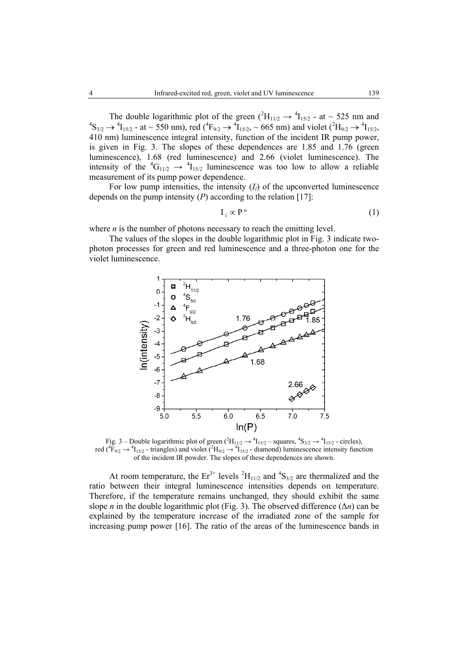The double logarithmic plot of the green  $(^{2}H_{11/2} \rightarrow ^{4}I_{15/2}$  - at  $\sim$  525 nm and  ${}^{4}S_{3/2} \rightarrow {}^{4}I_{15/2}$  - at ~ 550 nm), red ( ${}^{4}F_{9/2} \rightarrow {}^{4}I_{15/2}$ , ~ 665 nm) and violet ( ${}^{2}H_{9/2} \rightarrow {}^{4}I_{15/2}$ , 410 nm) luminescence integral intensity, function of the incident IR pump power, is given in Fig. 3. The slopes of these dependences are 1.85 and 1.76 (green luminescence), 1.68 (red luminescence) and 2.66 (violet luminescence). The intensity of the  ${}^4G_{11/2} \rightarrow {}^4I_{15/2}$  luminescence was too low to allow a reliable measurement of its pump power dependence.

For low pump intensities, the intensity  $(I<sub>l</sub>)$  of the upconverted luminescence depends on the pump intensity (*P*) according to the relation [17]:

$$
I_1 \propto P^n \tag{1}
$$

where *n* is the number of photons necessary to reach the emitting level.

The values of the slopes in the double logarithmic plot in Fig. 3 indicate twophoton processes for green and red luminescence and a three-photon one for the violet luminescence.



Fig. 3 – Double logarithmic plot of green  $(^{2}H_{11/2} \rightarrow {}^{4}I_{15/2}$  – squares,  ${}^{4}S_{3/2} \rightarrow {}^{4}I_{15/2}$  - circles), red ( ${}^4F_{9/2}$   $\rightarrow {}^4I_{15/2}$  - triangles) and violet ( ${}^2H_{9/2}$   $\rightarrow {}^4I_{15/2}$  - diamond) luminescence intensity function of the incident IR powder. The slopes of these dependences are shown.

At room temperature, the  $Er^{3+}$  levels  ${}^{2}H_{11/2}$  and  ${}^{4}S_{3/2}$  are thermalized and the ratio between their integral luminescence intensities depends on temperature. Therefore, if the temperature remains unchanged, they should exhibit the same slope *n* in the double logarithmic plot (Fig. 3). The observed difference  $(\Delta n)$  can be explained by the temperature increase of the irradiated zone of the sample for increasing pump power [16]. The ratio of the areas of the luminescence bands in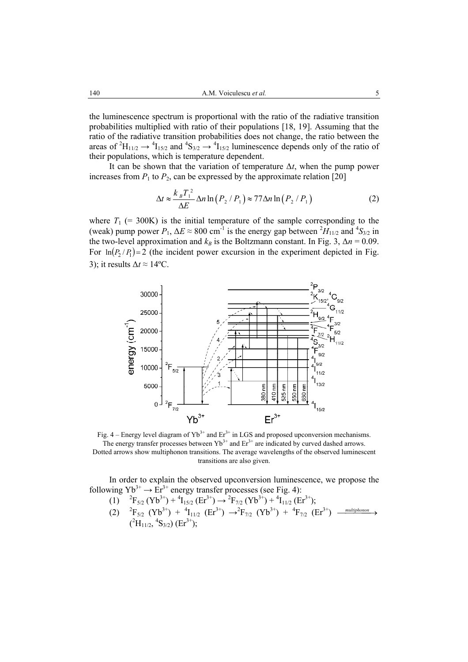the luminescence spectrum is proportional with the ratio of the radiative transition probabilities multiplied with ratio of their populations [18, 19]. Assuming that the ratio of the radiative transition probabilities does not change, the ratio between the areas of <sup>2</sup>H<sub>11/2</sub>  $\rightarrow$  <sup>4</sup>H<sub>15/2</sub> and <sup>4</sup>S<sub>3/2</sub>  $\rightarrow$  <sup>4</sup>H<sub>15/2</sub> luminescence depends only of the ratio of their populations, which is temperature dependent.

It can be shown that the variation of temperature ∆*t*, when the pump power increases from  $P_1$  to  $P_2$ , can be expressed by the approximate relation [20]

$$
\Delta t \approx \frac{k_B T_1^2}{\Delta E} \Delta n \ln \left( P_2 / P_1 \right) \approx 77 \Delta n \ln \left( P_2 / P_1 \right) \tag{2}
$$

where  $T_1$  (= 300K) is the initial temperature of the sample corresponding to the (weak) pump power  $P_1$ ,  $\Delta E \approx 800$  cm<sup>-1</sup> is the energy gap between  ${}^2H_{11/2}$  and  ${}^4S_{3/2}$  in the two-level approximation and  $k_B$  is the Boltzmann constant. In Fig. 3,  $\Delta n = 0.09$ . For  $\ln (P_2 / P_1) = 2$  (the incident power excursion in the experiment depicted in Fig. 3); it results ∆*t* ≈ 14ºC.



Fig. 4 – Energy level diagram of  $Yb^{3+}$  and  $Er^{3+}$  in LGS and proposed upconversion mechanisms. The energy transfer processes between  $Yb^{3+}$  and  $Er^{3+}$  are indicated by curved dashed arrows. Dotted arrows show multiphonon transitions. The average wavelengths of the observed luminescent transitions are also given.

In order to explain the observed upconversion luminescence, we propose the following  $Yb^{3+} \rightarrow Er^{3+}$  energy transfer processes (see Fig. 4):

- (1)  ${}^{2}F_{5/2}$  (Yb<sup>3+</sup>) +  ${}^{4}I_{15/2}$  (Er<sup>3+</sup>)  $\rightarrow {}^{2}F_{7/2}$  (Yb<sup>3+</sup>) +  ${}^{4}I_{11/2}$  (Er<sup>3+</sup>);
- $(2)$  $F_{5/2}$   $(Yb^{3+})$  +  ${}^{4}I_{11/2}$   $(Er^{3+})$   $\rightarrow {}^{2}F_{7/2}$   $(Yb^{3+})$  +  ${}^{4}F_{7/2}$   $(Er^{3+})$   $\rightarrow$   $\rightarrow$   $\rightarrow$  $(^{2}H_{11/2}, ^{4}S_{3/2})$  (Er<sup>3+</sup>);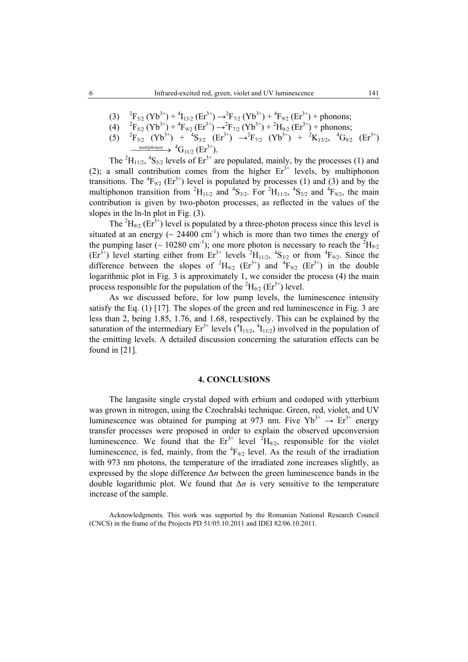- $(3)$  $F_{5/2}$  (Yb<sup>3+</sup>) + <sup>4</sup>I<sub>13/2</sub> (Er<sup>3+</sup>)  $\rightarrow$  <sup>2</sup>F<sub>7/2</sub> (Yb<sup>3+</sup>) + <sup>4</sup>F<sub>9/2</sub> (Er<sup>3+</sup>) + phonons;
- $(4)$  $F_{5/2}$  (Yb<sup>3+</sup>) + <sup>4</sup> $F_{9/2}$  (Er<sup>3+</sup>)  $\rightarrow$  <sup>2</sup> $F_{7/2}$  (Yb<sup>3+</sup>) + <sup>2</sup>H<sub>9/2</sub> (Er<sup>3+</sup>) + phonons;
- $(5)$  $F_{5/2}$   $(Yb^{3+})$  +  ${}^{4}S_{3/2}$   $(Er^{3+})$   $\rightarrow {}^{2}F_{7/2}$   $(Yb^{3+})$  +  ${}^{2}K_{15/2}$ ,  ${}^{4}G_{9/2}$   $(Er^{3+})$  $\xrightarrow{\text{multiphonom}}$   ${}^{4}G_{11/2}$  (Er<sup>3+</sup>).

The <sup>2</sup>H<sub>11/2</sub>, <sup>4</sup>S<sub>3/2</sub> levels of  $Er^{3+}$  are populated, mainly, by the processes (1) and (2); a small contribution comes from the higher  $Er<sup>3+</sup>$  levels, by multiphonon transitions. The  ${}^{4}F_{9/2}$  (Er<sup>3+</sup>) level is populated by processes (1) and (3) and by the multiphonon transition from <sup>2</sup>H<sub>11/2</sub> and <sup>4</sup>S<sub>3/2</sub>. For <sup>2</sup>H<sub>11/2</sub>, <sup>4</sup>S<sub>3/2</sub> and <sup>4</sup>F<sub>9/2</sub>, the main contribution is given by two-photon processes, as reflected in the values of the slopes in the ln-ln plot in Fig. (3).

The  ${}^{2}H_{9/2}$  (Er<sup>3+</sup>) level is populated by a three-photon process since this level is situated at an energy ( $\sim$  24400 cm<sup>-1</sup>) which is more than two times the energy of the pumping laser ( $\sim 10280 \text{ cm}^{-1}$ ); one more photon is necessary to reach the  ${}^{2}H_{9/2}$  $(Er^{3+})$  level starting either from  $Er^{3+}$  levels  ${}^{2}H_{11/2}$ ,  ${}^{4}S_{3/2}$  or from  ${}^{4}F_{9/2}$ . Since the difference between the slopes of  ${}^{2}H_{9/2}$  (Er<sup>3+</sup>) and  ${}^{4}F_{9/2}$  (Er<sup>3+</sup>) in the double logarithmic plot in Fig. 3 is approximately 1, we consider the process (4) the main process responsible for the population of the  ${}^{2}H_{9/2}$  (Er<sup>3+</sup>) level.

As we discussed before, for low pump levels, the luminescence intensity satisfy the Eq. (1) [17]. The slopes of the green and red luminescence in Fig. 3 are less than 2, being 1.85, 1.76, and 1.68, respectively. This can be explained by the saturation of the intermediary  $Er^{3+}$  levels  $({}^{4}I_{13/2}, {}^{4}I_{11/2})$  involved in the population of the emitting levels. A detailed discussion concerning the saturation effects can be found in [21].

### **4. CONCLUSIONS**

The langasite single crystal doped with erbium and codoped with ytterbium was grown in nitrogen, using the Czochralski technique. Green, red, violet, and UV luminescence was obtained for pumping at 973 nm. Five  $Yb^{3+} \rightarrow Er^{3+}$  energy transfer processes were proposed in order to explain the observed upconversion luminescence. We found that the  $Er^{3+}$  level  $^{2}H_{9/2}$ , responsible for the violet luminescence, is fed, mainly, from the  ${}^{4}F_{9/2}$  level. As the result of the irradiation with 973 nm photons, the temperature of the irradiated zone increases slightly, as expressed by the slope difference ∆*n* between the green luminescence bands in the double logarithmic plot. We found that ∆*n* is very sensitive to the temperature increase of the sample.

Acknowledgments. This work was supported by the Romanian National Research Council (CNCS) in the frame of the Projects PD 51/05.10.2011 and IDEI 82/06.10.2011.